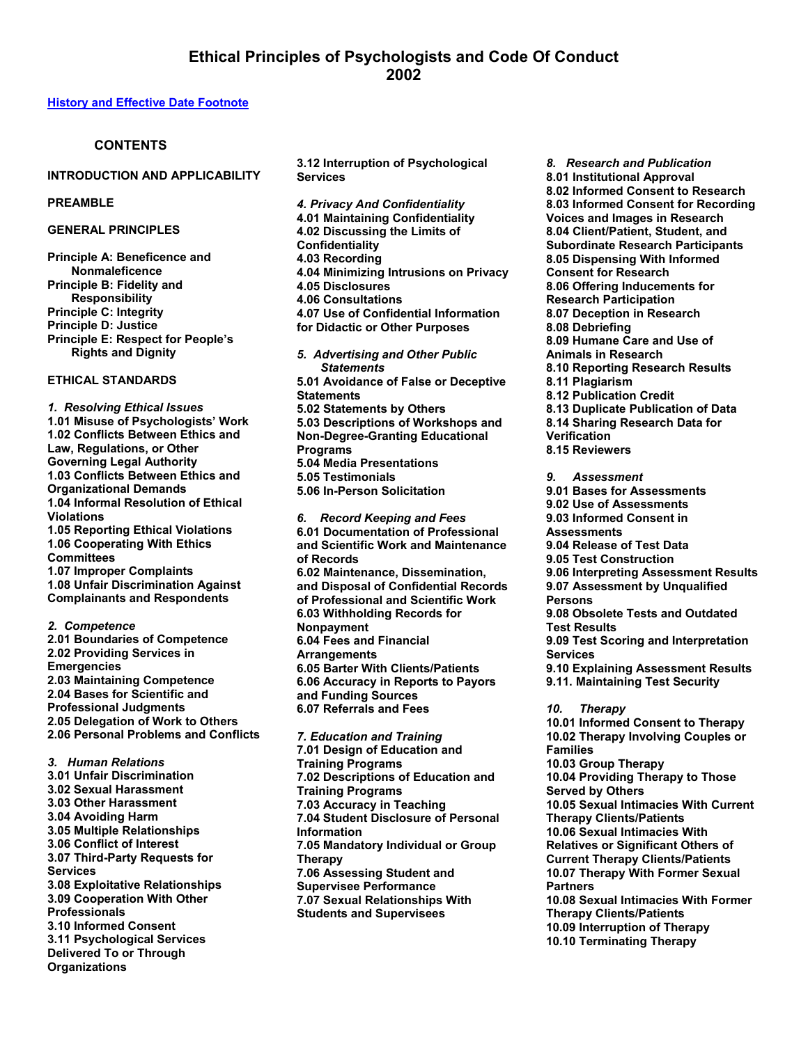#### **[History and Effective Date Footnote](#page-15-0)**

#### **CONTENTS**

#### **INTRODUCTION AND APPLICABILITY**

#### **PREAMBLE**

- **GENERAL PRINCIPLES**
- **Principle A: Beneficence and Nonmaleficence Principle B: Fidelity and Responsibility Principle C: Integrity Principle D: Justice Principle E: Respect for People's Rights and Dignity**

#### **ETHICAL STANDARDS**

- *1. Resolving Ethical Issues* **1.01 Misuse of Psychologists' Work 1.02 Conflicts Between Ethics and Law, Regulations, or Other Governing Legal Authority 1.03 Conflicts Between Ethics and Organizational Demands 1.04 Informal Resolution of Ethical Violations 1.05 Reporting Ethical Violations 1.06 Cooperating With Ethics Committees 1.07 Improper Complaints 1.08 Unfair Discrimination Against Complainants and Respondents**
- *2. Competence* **2.01 Boundaries of Competence 2.02 Providing Services in Emergencies 2.03 Maintaining Competence 2.04 Bases for Scientific and Professional Judgments 2.05 Delegation of Work to Others 2.06 Personal Problems and Conflicts**
- *3. Human Relations* **3.01 Unfair Discrimination 3.02 Sexual Harassment 3.03 Other Harassment 3.04 Avoiding Harm 3.05 Multiple Relationships 3.06 Conflict of Interest 3.07 Third-Party Requests for Services 3.08 Exploitative Relationships 3.09 Cooperation With Other Professionals 3.10 Informed Consent 3.11 Psychological Services Delivered To or Through Organizations**

**3.12 Interruption of Psychological Services**

- *4. Privacy And Confidentiality* **4.01 Maintaining Confidentiality 4.02 Discussing the Limits of Confidentiality 4.03 Recording 4.04 Minimizing Intrusions on Privacy 4.05 Disclosures 4.06 Consultations 4.07 Use of Confidential Information for Didactic or Other Purposes** *5. Advertising and Other Public*
- *Statements* **5.01 Avoidance of False or Deceptive Statements 5.02 Statements by Others 5.03 Descriptions of Workshops and Non-Degree-Granting Educational Programs 5.04 Media Presentations 5.05 Testimonials 5.06 In-Person Solicitation**
- *6. Record Keeping and Fees* **6.01 Documentation of Professional and Scientific Work and Maintenance of Records 6.02 Maintenance, Dissemination, and Disposal of Confidential Records of Professional and Scientific Work 6.03 Withholding Records for Nonpayment 6.04 Fees and Financial Arrangements 6.05 Barter With Clients/Patients 6.06 Accuracy in Reports to Payors and Funding Sources 6.07 Referrals and Fees**
- *7. Education and Training* **7.01 Design of Education and Training Programs 7.02 Descriptions of Education and Training Programs 7.03 Accuracy in Teaching 7.04 Student Disclosure of Personal Information 7.05 Mandatory Individual or Group Therapy 7.06 Assessing Student and Supervisee Performance 7.07 Sexual Relationships With Students and Supervisees**

*8. Research and Publication* **8.01 Institutional Approval 8.02 Informed Consent to Research 8.03 Informed Consent for Recording Voices and Images in Research 8.04 Client/Patient, Student, and Subordinate Research Participants 8.05 Dispensing With Informed Consent for Research 8.06 Offering Inducements for Research Participation 8.07 Deception in Research 8.08 Debriefing 8.09 Humane Care and Use of Animals in Research 8.10 Reporting Research Results 8.11 Plagiarism 8.12 Publication Credit 8.13 Duplicate Publication of Data 8.14 Sharing Research Data for Verification 8.15 Reviewers** *9. Assessment* **9.01 Bases for Assessments 9.02 Use of Assessments 9.03 Informed Consent in Assessments 9.04 Release of Test Data 9.05 Test Construction 9.06 Interpreting Assessment Results 9.07 Assessment by Unqualified Persons 9.08 Obsolete Tests and Outdated Test Results 9.09 Test Scoring and Interpretation Services 9.10 Explaining Assessment Results 9.11. Maintaining Test Security** *10. Therapy* **10.01 Informed Consent to Therapy 10.02 Therapy Involving Couples or Families 10.03 Group Therapy 10.04 Providing Therapy to Those Served by Others 10.05 Sexual Intimacies With Current Therapy Clients/Patients 10.06 Sexual Intimacies With Relatives or Significant Others of Current Therapy Clients/Patients 10.07 Therapy With Former Sexual Partners 10.08 Sexual Intimacies With Former** 

**Therapy Clients/Patients 10.09 Interruption of Therapy 10.10 Terminating Therapy**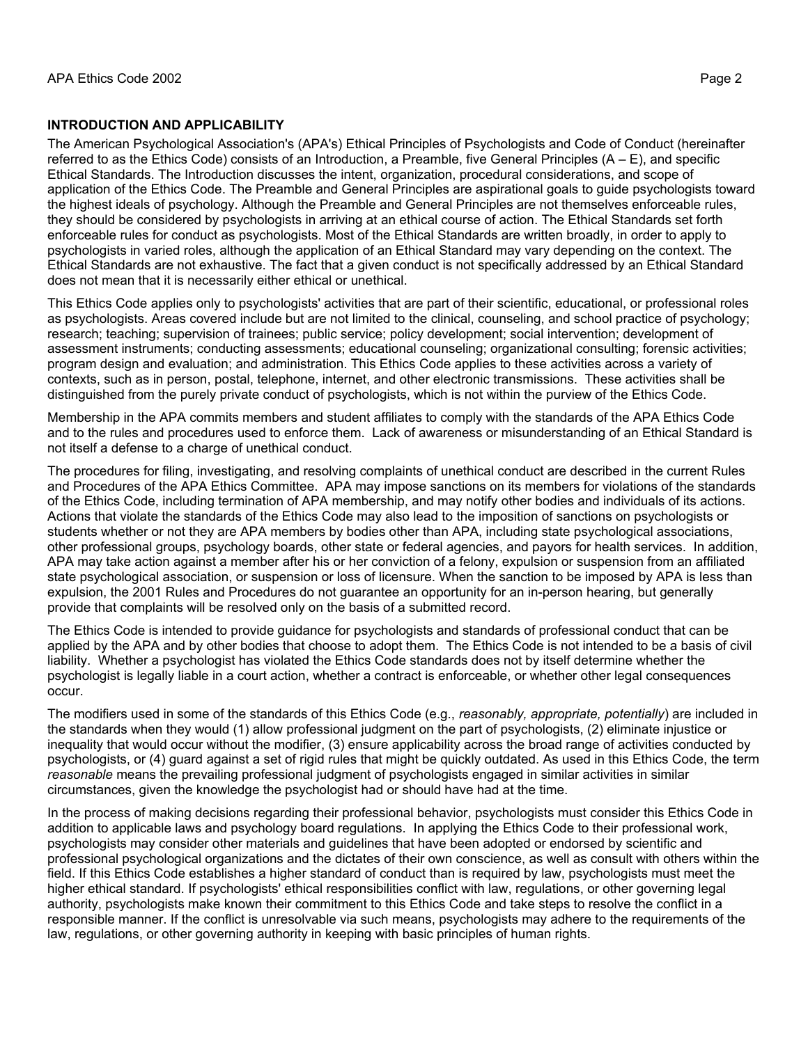#### **INTRODUCTION AND APPLICABILITY**

The American Psychological Association's (APA's) Ethical Principles of Psychologists and Code of Conduct (hereinafter referred to as the Ethics Code) consists of an Introduction, a Preamble, five General Principles  $(A - E)$ , and specific Ethical Standards. The Introduction discusses the intent, organization, procedural considerations, and scope of application of the Ethics Code. The Preamble and General Principles are aspirational goals to guide psychologists toward the highest ideals of psychology. Although the Preamble and General Principles are not themselves enforceable rules, they should be considered by psychologists in arriving at an ethical course of action. The Ethical Standards set forth enforceable rules for conduct as psychologists. Most of the Ethical Standards are written broadly, in order to apply to psychologists in varied roles, although the application of an Ethical Standard may vary depending on the context. The Ethical Standards are not exhaustive. The fact that a given conduct is not specifically addressed by an Ethical Standard does not mean that it is necessarily either ethical or unethical.

This Ethics Code applies only to psychologists' activities that are part of their scientific, educational, or professional roles as psychologists. Areas covered include but are not limited to the clinical, counseling, and school practice of psychology; research; teaching; supervision of trainees; public service; policy development; social intervention; development of assessment instruments; conducting assessments; educational counseling; organizational consulting; forensic activities; program design and evaluation; and administration. This Ethics Code applies to these activities across a variety of contexts, such as in person, postal, telephone, internet, and other electronic transmissions. These activities shall be distinguished from the purely private conduct of psychologists, which is not within the purview of the Ethics Code.

Membership in the APA commits members and student affiliates to comply with the standards of the APA Ethics Code and to the rules and procedures used to enforce them. Lack of awareness or misunderstanding of an Ethical Standard is not itself a defense to a charge of unethical conduct.

The procedures for filing, investigating, and resolving complaints of unethical conduct are described in the current Rules and Procedures of the APA Ethics Committee. APA may impose sanctions on its members for violations of the standards of the Ethics Code, including termination of APA membership, and may notify other bodies and individuals of its actions. Actions that violate the standards of the Ethics Code may also lead to the imposition of sanctions on psychologists or students whether or not they are APA members by bodies other than APA, including state psychological associations, other professional groups, psychology boards, other state or federal agencies, and payors for health services. In addition, APA may take action against a member after his or her conviction of a felony, expulsion or suspension from an affiliated state psychological association, or suspension or loss of licensure. When the sanction to be imposed by APA is less than expulsion, the 2001 Rules and Procedures do not guarantee an opportunity for an in-person hearing, but generally provide that complaints will be resolved only on the basis of a submitted record.

The Ethics Code is intended to provide guidance for psychologists and standards of professional conduct that can be applied by the APA and by other bodies that choose to adopt them. The Ethics Code is not intended to be a basis of civil liability. Whether a psychologist has violated the Ethics Code standards does not by itself determine whether the psychologist is legally liable in a court action, whether a contract is enforceable, or whether other legal consequences occur.

The modifiers used in some of the standards of this Ethics Code (e.g., *reasonably, appropriate, potentially*) are included in the standards when they would (1) allow professional judgment on the part of psychologists, (2) eliminate injustice or inequality that would occur without the modifier, (3) ensure applicability across the broad range of activities conducted by psychologists, or (4) guard against a set of rigid rules that might be quickly outdated. As used in this Ethics Code, the term *reasonable* means the prevailing professional judgment of psychologists engaged in similar activities in similar circumstances, given the knowledge the psychologist had or should have had at the time.

In the process of making decisions regarding their professional behavior, psychologists must consider this Ethics Code in addition to applicable laws and psychology board regulations. In applying the Ethics Code to their professional work, psychologists may consider other materials and guidelines that have been adopted or endorsed by scientific and professional psychological organizations and the dictates of their own conscience, as well as consult with others within the field. If this Ethics Code establishes a higher standard of conduct than is required by law, psychologists must meet the higher ethical standard. If psychologists' ethical responsibilities conflict with law, regulations, or other governing legal authority, psychologists make known their commitment to this Ethics Code and take steps to resolve the conflict in a responsible manner. If the conflict is unresolvable via such means, psychologists may adhere to the requirements of the law, regulations, or other governing authority in keeping with basic principles of human rights.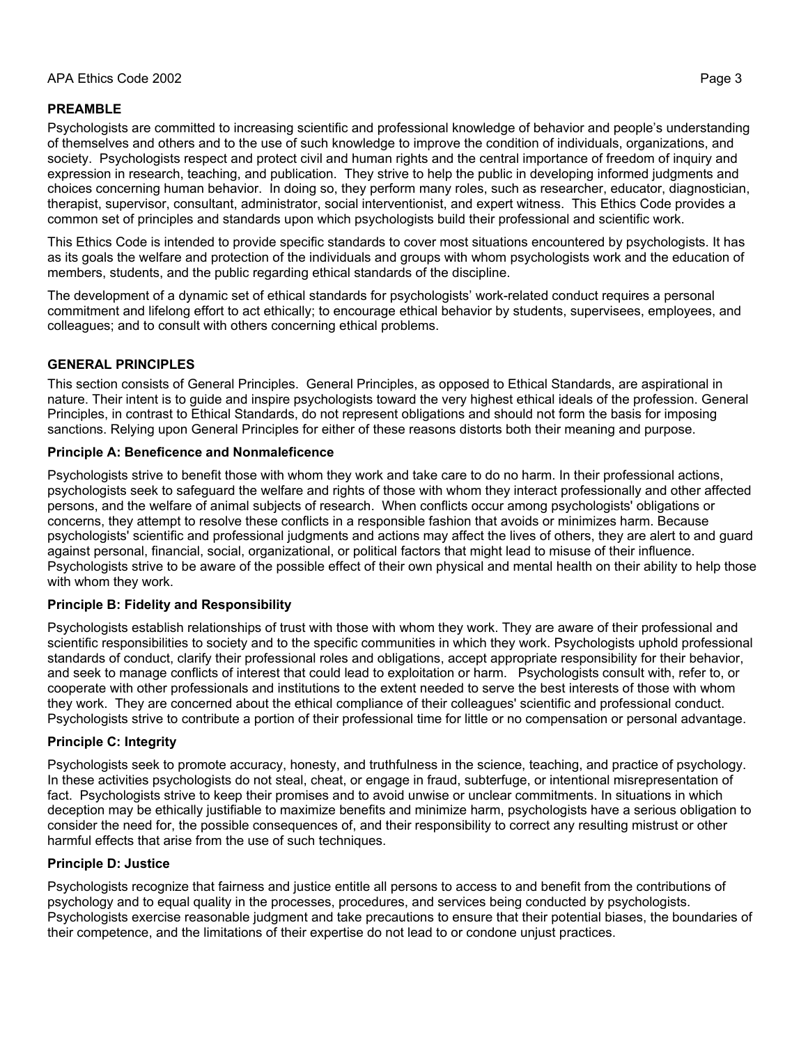# **PREAMBLE**

Psychologists are committed to increasing scientific and professional knowledge of behavior and people's understanding of themselves and others and to the use of such knowledge to improve the condition of individuals, organizations, and society. Psychologists respect and protect civil and human rights and the central importance of freedom of inquiry and expression in research, teaching, and publication. They strive to help the public in developing informed judgments and choices concerning human behavior. In doing so, they perform many roles, such as researcher, educator, diagnostician, therapist, supervisor, consultant, administrator, social interventionist, and expert witness. This Ethics Code provides a common set of principles and standards upon which psychologists build their professional and scientific work.

This Ethics Code is intended to provide specific standards to cover most situations encountered by psychologists. It has as its goals the welfare and protection of the individuals and groups with whom psychologists work and the education of members, students, and the public regarding ethical standards of the discipline.

The development of a dynamic set of ethical standards for psychologists' work-related conduct requires a personal commitment and lifelong effort to act ethically; to encourage ethical behavior by students, supervisees, employees, and colleagues; and to consult with others concerning ethical problems.

### **GENERAL PRINCIPLES**

This section consists of General Principles. General Principles, as opposed to Ethical Standards, are aspirational in nature. Their intent is to guide and inspire psychologists toward the very highest ethical ideals of the profession. General Principles, in contrast to Ethical Standards, do not represent obligations and should not form the basis for imposing sanctions. Relying upon General Principles for either of these reasons distorts both their meaning and purpose.

#### **Principle A: Beneficence and Nonmaleficence**

Psychologists strive to benefit those with whom they work and take care to do no harm. In their professional actions, psychologists seek to safeguard the welfare and rights of those with whom they interact professionally and other affected persons, and the welfare of animal subjects of research. When conflicts occur among psychologists' obligations or concerns, they attempt to resolve these conflicts in a responsible fashion that avoids or minimizes harm. Because psychologists' scientific and professional judgments and actions may affect the lives of others, they are alert to and guard against personal, financial, social, organizational, or political factors that might lead to misuse of their influence. Psychologists strive to be aware of the possible effect of their own physical and mental health on their ability to help those with whom they work.

#### **Principle B: Fidelity and Responsibility**

Psychologists establish relationships of trust with those with whom they work. They are aware of their professional and scientific responsibilities to society and to the specific communities in which they work. Psychologists uphold professional standards of conduct, clarify their professional roles and obligations, accept appropriate responsibility for their behavior, and seek to manage conflicts of interest that could lead to exploitation or harm. Psychologists consult with, refer to, or cooperate with other professionals and institutions to the extent needed to serve the best interests of those with whom they work. They are concerned about the ethical compliance of their colleagues' scientific and professional conduct. Psychologists strive to contribute a portion of their professional time for little or no compensation or personal advantage.

#### **Principle C: Integrity**

Psychologists seek to promote accuracy, honesty, and truthfulness in the science, teaching, and practice of psychology. In these activities psychologists do not steal, cheat, or engage in fraud, subterfuge, or intentional misrepresentation of fact. Psychologists strive to keep their promises and to avoid unwise or unclear commitments. In situations in which deception may be ethically justifiable to maximize benefits and minimize harm, psychologists have a serious obligation to consider the need for, the possible consequences of, and their responsibility to correct any resulting mistrust or other harmful effects that arise from the use of such techniques.

#### **Principle D: Justice**

Psychologists recognize that fairness and justice entitle all persons to access to and benefit from the contributions of psychology and to equal quality in the processes, procedures, and services being conducted by psychologists. Psychologists exercise reasonable judgment and take precautions to ensure that their potential biases, the boundaries of their competence, and the limitations of their expertise do not lead to or condone unjust practices.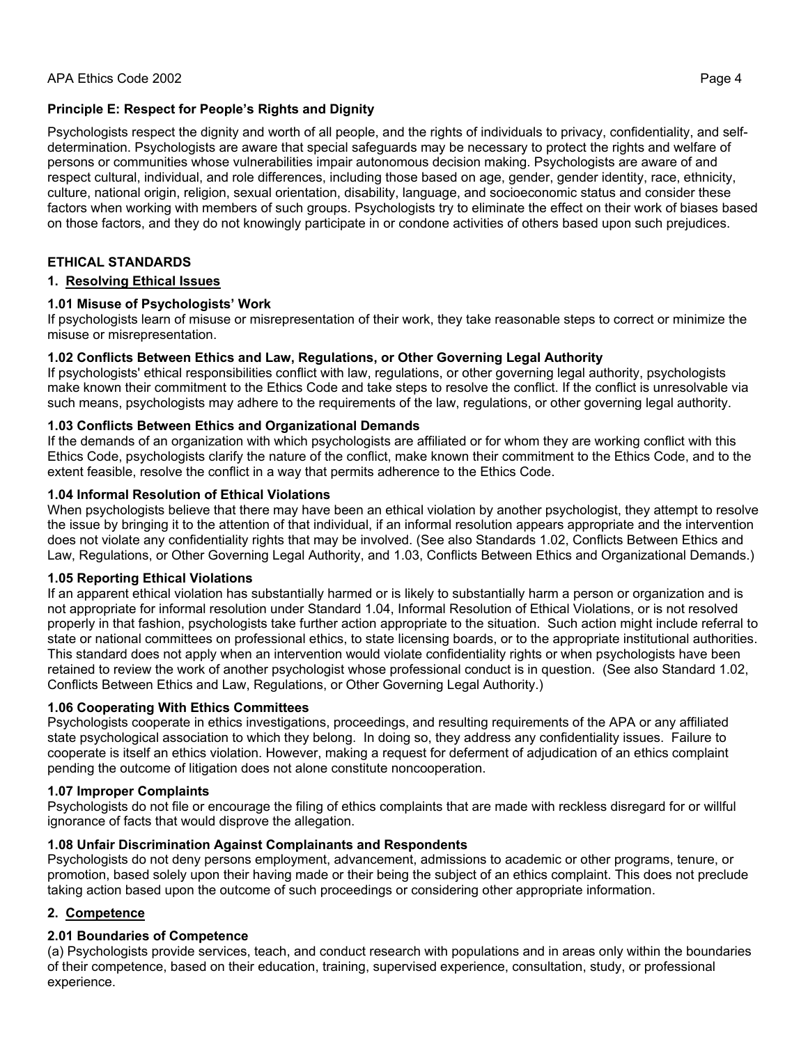### **Principle E: Respect for People's Rights and Dignity**

Psychologists respect the dignity and worth of all people, and the rights of individuals to privacy, confidentiality, and selfdetermination. Psychologists are aware that special safeguards may be necessary to protect the rights and welfare of persons or communities whose vulnerabilities impair autonomous decision making. Psychologists are aware of and respect cultural, individual, and role differences, including those based on age, gender, gender identity, race, ethnicity, culture, national origin, religion, sexual orientation, disability, language, and socioeconomic status and consider these factors when working with members of such groups. Psychologists try to eliminate the effect on their work of biases based on those factors, and they do not knowingly participate in or condone activities of others based upon such prejudices.

# **ETHICAL STANDARDS**

### **1. Resolving Ethical Issues**

# **1.01 Misuse of Psychologists' Work**

If psychologists learn of misuse or misrepresentation of their work, they take reasonable steps to correct or minimize the misuse or misrepresentation.

# **1.02 Conflicts Between Ethics and Law, Regulations, or Other Governing Legal Authority**

If psychologists' ethical responsibilities conflict with law, regulations, or other governing legal authority, psychologists make known their commitment to the Ethics Code and take steps to resolve the conflict. If the conflict is unresolvable via such means, psychologists may adhere to the requirements of the law, regulations, or other governing legal authority.

### **1.03 Conflicts Between Ethics and Organizational Demands**

If the demands of an organization with which psychologists are affiliated or for whom they are working conflict with this Ethics Code, psychologists clarify the nature of the conflict, make known their commitment to the Ethics Code, and to the extent feasible, resolve the conflict in a way that permits adherence to the Ethics Code.

### **1.04 Informal Resolution of Ethical Violations**

When psychologists believe that there may have been an ethical violation by another psychologist, they attempt to resolve the issue by bringing it to the attention of that individual, if an informal resolution appears appropriate and the intervention does not violate any confidentiality rights that may be involved. (See also Standards 1.02, Conflicts Between Ethics and Law, Regulations, or Other Governing Legal Authority, and 1.03, Conflicts Between Ethics and Organizational Demands.)

#### **1.05 Reporting Ethical Violations**

If an apparent ethical violation has substantially harmed or is likely to substantially harm a person or organization and is not appropriate for informal resolution under Standard 1.04, Informal Resolution of Ethical Violations, or is not resolved properly in that fashion, psychologists take further action appropriate to the situation. Such action might include referral to state or national committees on professional ethics, to state licensing boards, or to the appropriate institutional authorities. This standard does not apply when an intervention would violate confidentiality rights or when psychologists have been retained to review the work of another psychologist whose professional conduct is in question. (See also Standard 1.02, Conflicts Between Ethics and Law, Regulations, or Other Governing Legal Authority.)

#### **1.06 Cooperating With Ethics Committees**

Psychologists cooperate in ethics investigations, proceedings, and resulting requirements of the APA or any affiliated state psychological association to which they belong. In doing so, they address any confidentiality issues. Failure to cooperate is itself an ethics violation. However, making a request for deferment of adjudication of an ethics complaint pending the outcome of litigation does not alone constitute noncooperation.

# **1.07 Improper Complaints**

Psychologists do not file or encourage the filing of ethics complaints that are made with reckless disregard for or willful ignorance of facts that would disprove the allegation.

# **1.08 Unfair Discrimination Against Complainants and Respondents**

Psychologists do not deny persons employment, advancement, admissions to academic or other programs, tenure, or promotion, based solely upon their having made or their being the subject of an ethics complaint. This does not preclude taking action based upon the outcome of such proceedings or considering other appropriate information.

# **2. Competence**

# **2.01 Boundaries of Competence**

(a) Psychologists provide services, teach, and conduct research with populations and in areas only within the boundaries of their competence, based on their education, training, supervised experience, consultation, study, or professional experience.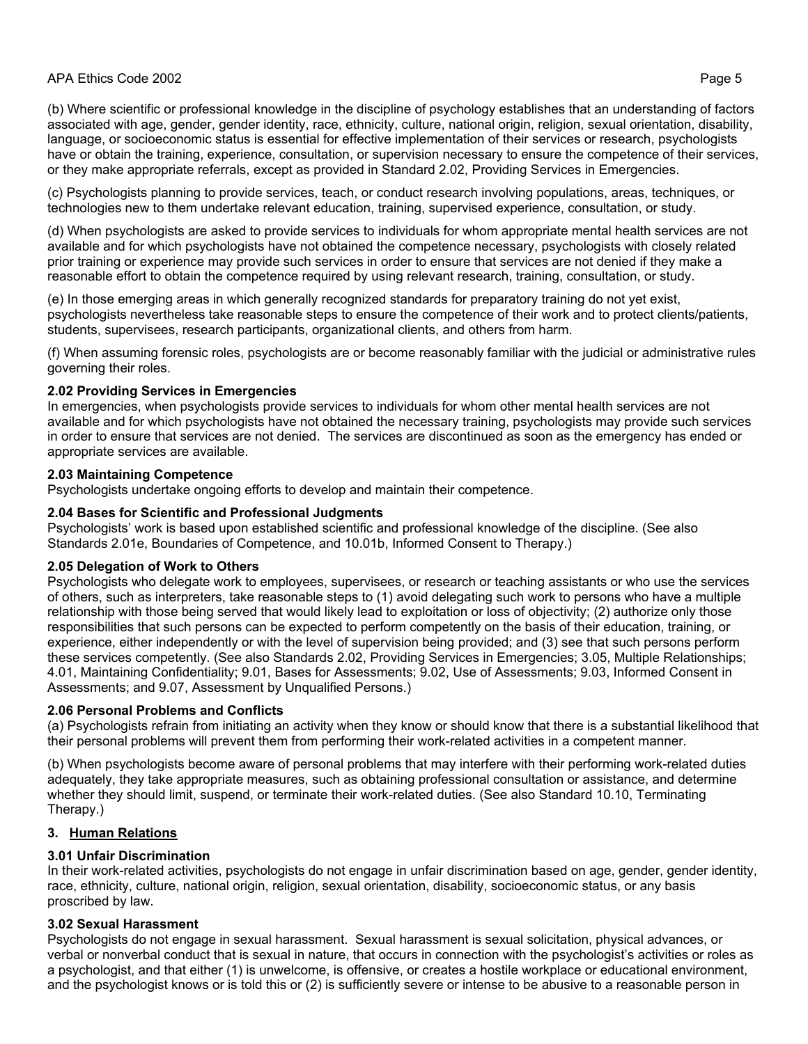(b) Where scientific or professional knowledge in the discipline of psychology establishes that an understanding of factors associated with age, gender, gender identity, race, ethnicity, culture, national origin, religion, sexual orientation, disability, language, or socioeconomic status is essential for effective implementation of their services or research, psychologists have or obtain the training, experience, consultation, or supervision necessary to ensure the competence of their services, or they make appropriate referrals, except as provided in Standard 2.02, Providing Services in Emergencies.

(c) Psychologists planning to provide services, teach, or conduct research involving populations, areas, techniques, or technologies new to them undertake relevant education, training, supervised experience, consultation, or study.

(d) When psychologists are asked to provide services to individuals for whom appropriate mental health services are not available and for which psychologists have not obtained the competence necessary, psychologists with closely related prior training or experience may provide such services in order to ensure that services are not denied if they make a reasonable effort to obtain the competence required by using relevant research, training, consultation, or study.

(e) In those emerging areas in which generally recognized standards for preparatory training do not yet exist, psychologists nevertheless take reasonable steps to ensure the competence of their work and to protect clients/patients, students, supervisees, research participants, organizational clients, and others from harm.

(f) When assuming forensic roles, psychologists are or become reasonably familiar with the judicial or administrative rules governing their roles.

#### **2.02 Providing Services in Emergencies**

In emergencies, when psychologists provide services to individuals for whom other mental health services are not available and for which psychologists have not obtained the necessary training, psychologists may provide such services in order to ensure that services are not denied. The services are discontinued as soon as the emergency has ended or appropriate services are available.

#### **2.03 Maintaining Competence**

Psychologists undertake ongoing efforts to develop and maintain their competence.

### **2.04 Bases for Scientific and Professional Judgments**

Psychologists' work is based upon established scientific and professional knowledge of the discipline. (See also Standards 2.01e, Boundaries of Competence, and 10.01b, Informed Consent to Therapy.)

#### **2.05 Delegation of Work to Others**

Psychologists who delegate work to employees, supervisees, or research or teaching assistants or who use the services of others, such as interpreters, take reasonable steps to (1) avoid delegating such work to persons who have a multiple relationship with those being served that would likely lead to exploitation or loss of objectivity; (2) authorize only those responsibilities that such persons can be expected to perform competently on the basis of their education, training, or experience, either independently or with the level of supervision being provided; and (3) see that such persons perform these services competently. (See also Standards 2.02, Providing Services in Emergencies; 3.05, Multiple Relationships; 4.01, Maintaining Confidentiality; 9.01, Bases for Assessments; 9.02, Use of Assessments; 9.03, Informed Consent in Assessments; and 9.07, Assessment by Unqualified Persons.)

#### **2.06 Personal Problems and Conflicts**

(a) Psychologists refrain from initiating an activity when they know or should know that there is a substantial likelihood that their personal problems will prevent them from performing their work-related activities in a competent manner.

(b) When psychologists become aware of personal problems that may interfere with their performing work-related duties adequately, they take appropriate measures, such as obtaining professional consultation or assistance, and determine whether they should limit, suspend, or terminate their work-related duties. (See also Standard 10.10, Terminating Therapy.)

# **3. Human Relations**

# **3.01 Unfair Discrimination**

In their work-related activities, psychologists do not engage in unfair discrimination based on age, gender, gender identity, race, ethnicity, culture, national origin, religion, sexual orientation, disability, socioeconomic status, or any basis proscribed by law.

#### **3.02 Sexual Harassment**

Psychologists do not engage in sexual harassment. Sexual harassment is sexual solicitation, physical advances, or verbal or nonverbal conduct that is sexual in nature, that occurs in connection with the psychologist's activities or roles as a psychologist, and that either (1) is unwelcome, is offensive, or creates a hostile workplace or educational environment, and the psychologist knows or is told this or (2) is sufficiently severe or intense to be abusive to a reasonable person in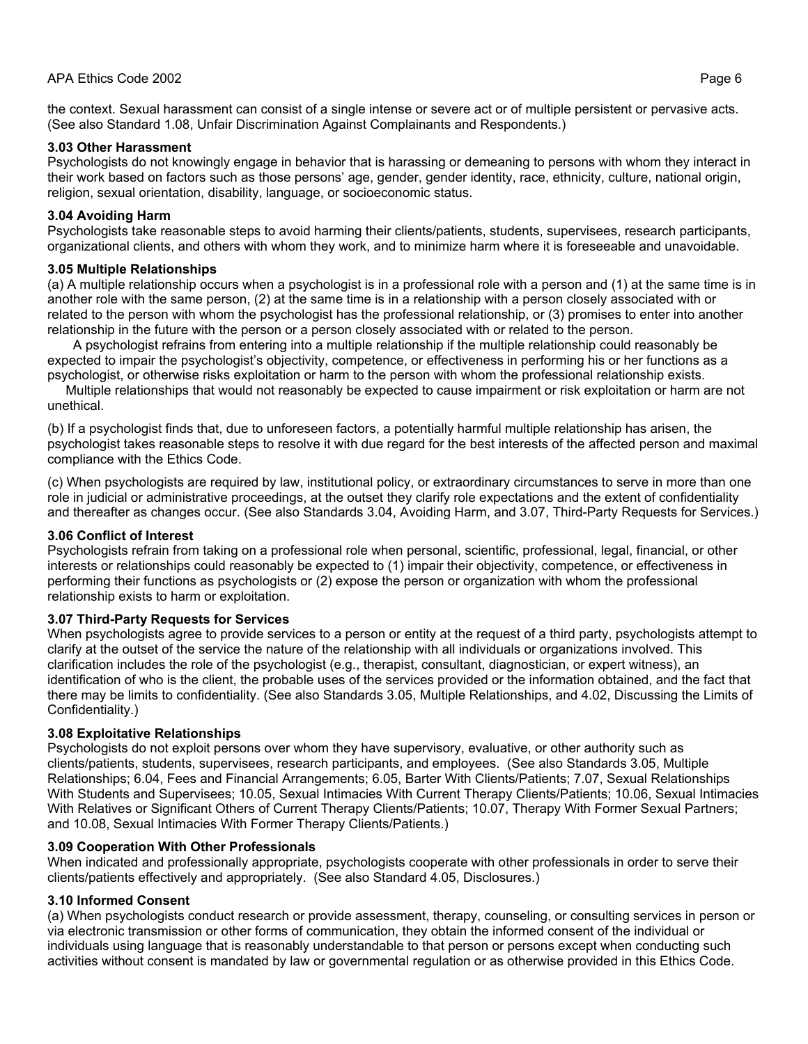the context. Sexual harassment can consist of a single intense or severe act or of multiple persistent or pervasive acts. (See also Standard 1.08, Unfair Discrimination Against Complainants and Respondents.)

### **3.03 Other Harassment**

Psychologists do not knowingly engage in behavior that is harassing or demeaning to persons with whom they interact in their work based on factors such as those persons' age, gender, gender identity, race, ethnicity, culture, national origin, religion, sexual orientation, disability, language, or socioeconomic status.

### **3.04 Avoiding Harm**

Psychologists take reasonable steps to avoid harming their clients/patients, students, supervisees, research participants, organizational clients, and others with whom they work, and to minimize harm where it is foreseeable and unavoidable.

### **3.05 Multiple Relationships**

(a) A multiple relationship occurs when a psychologist is in a professional role with a person and (1) at the same time is in another role with the same person, (2) at the same time is in a relationship with a person closely associated with or related to the person with whom the psychologist has the professional relationship, or (3) promises to enter into another relationship in the future with the person or a person closely associated with or related to the person.

 A psychologist refrains from entering into a multiple relationship if the multiple relationship could reasonably be expected to impair the psychologist's objectivity, competence, or effectiveness in performing his or her functions as a psychologist, or otherwise risks exploitation or harm to the person with whom the professional relationship exists.

 Multiple relationships that would not reasonably be expected to cause impairment or risk exploitation or harm are not unethical.

(b) If a psychologist finds that, due to unforeseen factors, a potentially harmful multiple relationship has arisen, the psychologist takes reasonable steps to resolve it with due regard for the best interests of the affected person and maximal compliance with the Ethics Code.

(c) When psychologists are required by law, institutional policy, or extraordinary circumstances to serve in more than one role in judicial or administrative proceedings, at the outset they clarify role expectations and the extent of confidentiality and thereafter as changes occur. (See also Standards 3.04, Avoiding Harm, and 3.07, Third-Party Requests for Services.)

#### **3.06 Conflict of Interest**

Psychologists refrain from taking on a professional role when personal, scientific, professional, legal, financial, or other interests or relationships could reasonably be expected to (1) impair their objectivity, competence, or effectiveness in performing their functions as psychologists or (2) expose the person or organization with whom the professional relationship exists to harm or exploitation.

# **3.07 Third-Party Requests for Services**

When psychologists agree to provide services to a person or entity at the request of a third party, psychologists attempt to clarify at the outset of the service the nature of the relationship with all individuals or organizations involved. This clarification includes the role of the psychologist (e.g., therapist, consultant, diagnostician, or expert witness), an identification of who is the client, the probable uses of the services provided or the information obtained, and the fact that there may be limits to confidentiality. (See also Standards 3.05, Multiple Relationships, and 4.02, Discussing the Limits of Confidentiality.)

# **3.08 Exploitative Relationships**

Psychologists do not exploit persons over whom they have supervisory, evaluative, or other authority such as clients/patients, students, supervisees, research participants, and employees. (See also Standards 3.05, Multiple Relationships; 6.04, Fees and Financial Arrangements; 6.05, Barter With Clients/Patients; 7.07, Sexual Relationships With Students and Supervisees; 10.05, Sexual Intimacies With Current Therapy Clients/Patients; 10.06, Sexual Intimacies With Relatives or Significant Others of Current Therapy Clients/Patients; 10.07, Therapy With Former Sexual Partners; and 10.08, Sexual Intimacies With Former Therapy Clients/Patients.)

# **3.09 Cooperation With Other Professionals**

When indicated and professionally appropriate, psychologists cooperate with other professionals in order to serve their clients/patients effectively and appropriately. (See also Standard 4.05, Disclosures.)

# **3.10 Informed Consent**

(a) When psychologists conduct research or provide assessment, therapy, counseling, or consulting services in person or via electronic transmission or other forms of communication, they obtain the informed consent of the individual or individuals using language that is reasonably understandable to that person or persons except when conducting such activities without consent is mandated by law or governmental regulation or as otherwise provided in this Ethics Code.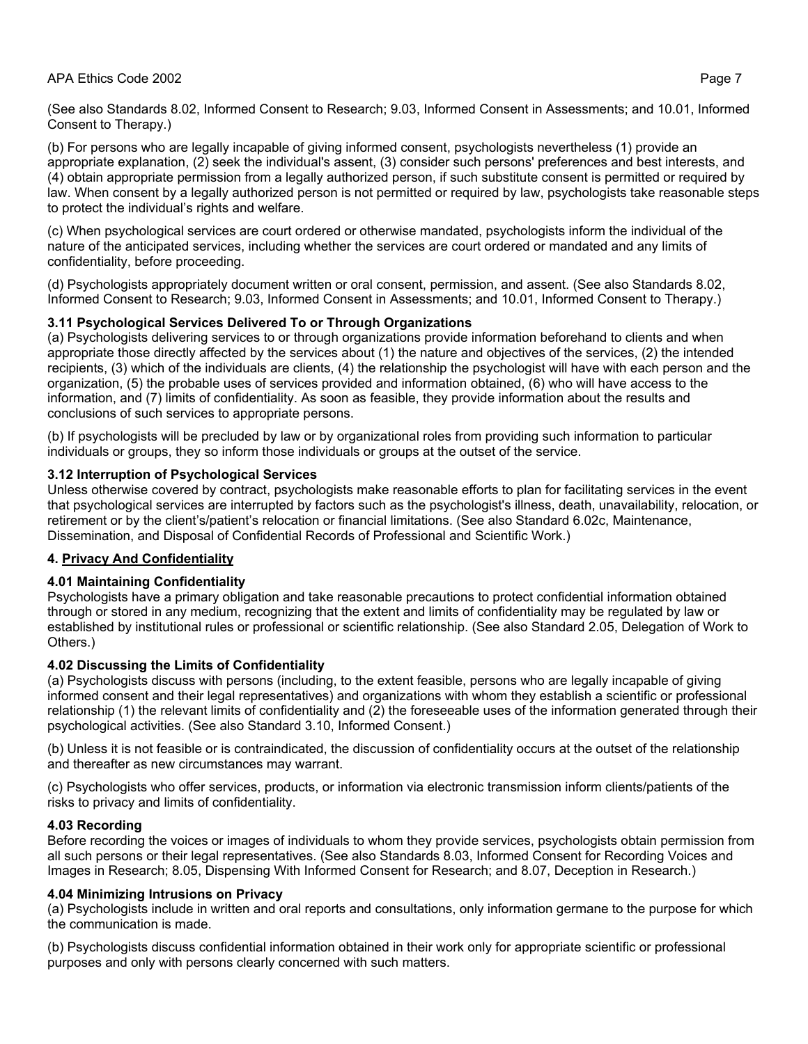(See also Standards 8.02, Informed Consent to Research; 9.03, Informed Consent in Assessments; and 10.01, Informed Consent to Therapy.)

(b) For persons who are legally incapable of giving informed consent, psychologists nevertheless (1) provide an appropriate explanation, (2) seek the individual's assent, (3) consider such persons' preferences and best interests, and (4) obtain appropriate permission from a legally authorized person, if such substitute consent is permitted or required by law. When consent by a legally authorized person is not permitted or required by law, psychologists take reasonable steps to protect the individual's rights and welfare.

(c) When psychological services are court ordered or otherwise mandated, psychologists inform the individual of the nature of the anticipated services, including whether the services are court ordered or mandated and any limits of confidentiality, before proceeding.

(d) Psychologists appropriately document written or oral consent, permission, and assent. (See also Standards 8.02, Informed Consent to Research; 9.03, Informed Consent in Assessments; and 10.01, Informed Consent to Therapy.)

### **3.11 Psychological Services Delivered To or Through Organizations**

(a) Psychologists delivering services to or through organizations provide information beforehand to clients and when appropriate those directly affected by the services about (1) the nature and objectives of the services, (2) the intended recipients, (3) which of the individuals are clients, (4) the relationship the psychologist will have with each person and the organization, (5) the probable uses of services provided and information obtained, (6) who will have access to the information, and (7) limits of confidentiality. As soon as feasible, they provide information about the results and conclusions of such services to appropriate persons.

(b) If psychologists will be precluded by law or by organizational roles from providing such information to particular individuals or groups, they so inform those individuals or groups at the outset of the service.

### **3.12 Interruption of Psychological Services**

Unless otherwise covered by contract, psychologists make reasonable efforts to plan for facilitating services in the event that psychological services are interrupted by factors such as the psychologist's illness, death, unavailability, relocation, or retirement or by the client's/patient's relocation or financial limitations. (See also Standard 6.02c, Maintenance, Dissemination, and Disposal of Confidential Records of Professional and Scientific Work.)

# **4. Privacy And Confidentiality**

#### **4.01 Maintaining Confidentiality**

Psychologists have a primary obligation and take reasonable precautions to protect confidential information obtained through or stored in any medium, recognizing that the extent and limits of confidentiality may be regulated by law or established by institutional rules or professional or scientific relationship. (See also Standard 2.05, Delegation of Work to Others.)

#### **4.02 Discussing the Limits of Confidentiality**

(a) Psychologists discuss with persons (including, to the extent feasible, persons who are legally incapable of giving informed consent and their legal representatives) and organizations with whom they establish a scientific or professional relationship (1) the relevant limits of confidentiality and (2) the foreseeable uses of the information generated through their psychological activities. (See also Standard 3.10, Informed Consent.)

(b) Unless it is not feasible or is contraindicated, the discussion of confidentiality occurs at the outset of the relationship and thereafter as new circumstances may warrant.

(c) Psychologists who offer services, products, or information via electronic transmission inform clients/patients of the risks to privacy and limits of confidentiality.

#### **4.03 Recording**

Before recording the voices or images of individuals to whom they provide services, psychologists obtain permission from all such persons or their legal representatives. (See also Standards 8.03, Informed Consent for Recording Voices and Images in Research; 8.05, Dispensing With Informed Consent for Research; and 8.07, Deception in Research.)

#### **4.04 Minimizing Intrusions on Privacy**

(a) Psychologists include in written and oral reports and consultations, only information germane to the purpose for which the communication is made.

(b) Psychologists discuss confidential information obtained in their work only for appropriate scientific or professional purposes and only with persons clearly concerned with such matters.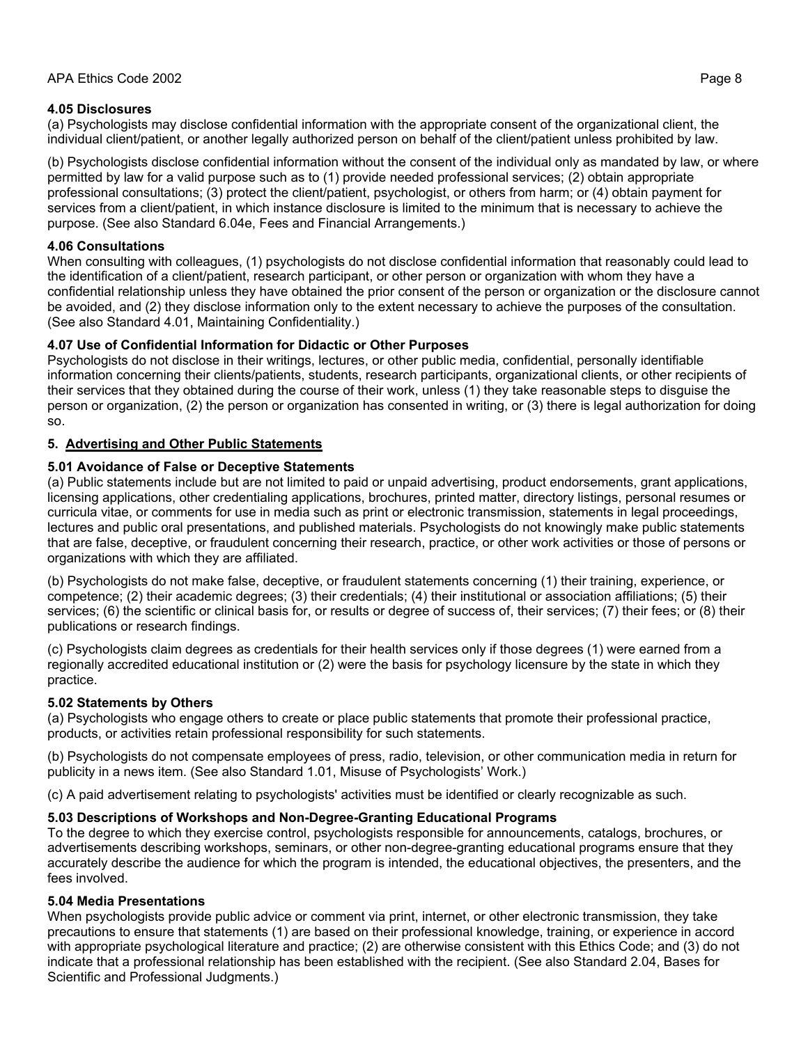### **4.05 Disclosures**

(a) Psychologists may disclose confidential information with the appropriate consent of the organizational client, the individual client/patient, or another legally authorized person on behalf of the client/patient unless prohibited by law.

(b) Psychologists disclose confidential information without the consent of the individual only as mandated by law, or where permitted by law for a valid purpose such as to (1) provide needed professional services; (2) obtain appropriate professional consultations; (3) protect the client/patient, psychologist, or others from harm; or (4) obtain payment for services from a client/patient, in which instance disclosure is limited to the minimum that is necessary to achieve the purpose. (See also Standard 6.04e, Fees and Financial Arrangements.)

# **4.06 Consultations**

When consulting with colleagues, (1) psychologists do not disclose confidential information that reasonably could lead to the identification of a client/patient, research participant, or other person or organization with whom they have a confidential relationship unless they have obtained the prior consent of the person or organization or the disclosure cannot be avoided, and (2) they disclose information only to the extent necessary to achieve the purposes of the consultation. (See also Standard 4.01, Maintaining Confidentiality.)

# **4.07 Use of Confidential Information for Didactic or Other Purposes**

Psychologists do not disclose in their writings, lectures, or other public media, confidential, personally identifiable information concerning their clients/patients, students, research participants, organizational clients, or other recipients of their services that they obtained during the course of their work, unless (1) they take reasonable steps to disguise the person or organization, (2) the person or organization has consented in writing, or (3) there is legal authorization for doing so.

### **5. Advertising and Other Public Statements**

### **5.01 Avoidance of False or Deceptive Statements**

(a) Public statements include but are not limited to paid or unpaid advertising, product endorsements, grant applications, licensing applications, other credentialing applications, brochures, printed matter, directory listings, personal resumes or curricula vitae, or comments for use in media such as print or electronic transmission, statements in legal proceedings, lectures and public oral presentations, and published materials. Psychologists do not knowingly make public statements that are false, deceptive, or fraudulent concerning their research, practice, or other work activities or those of persons or organizations with which they are affiliated.

(b) Psychologists do not make false, deceptive, or fraudulent statements concerning (1) their training, experience, or competence; (2) their academic degrees; (3) their credentials; (4) their institutional or association affiliations; (5) their services; (6) the scientific or clinical basis for, or results or degree of success of, their services; (7) their fees; or (8) their publications or research findings.

(c) Psychologists claim degrees as credentials for their health services only if those degrees (1) were earned from a regionally accredited educational institution or (2) were the basis for psychology licensure by the state in which they practice.

# **5.02 Statements by Others**

(a) Psychologists who engage others to create or place public statements that promote their professional practice, products, or activities retain professional responsibility for such statements.

(b) Psychologists do not compensate employees of press, radio, television, or other communication media in return for publicity in a news item. (See also Standard 1.01, Misuse of Psychologists' Work.)

(c) A paid advertisement relating to psychologists' activities must be identified or clearly recognizable as such.

# **5.03 Descriptions of Workshops and Non-Degree-Granting Educational Programs**

To the degree to which they exercise control, psychologists responsible for announcements, catalogs, brochures, or advertisements describing workshops, seminars, or other non-degree-granting educational programs ensure that they accurately describe the audience for which the program is intended, the educational objectives, the presenters, and the fees involved.

#### **5.04 Media Presentations**

When psychologists provide public advice or comment via print, internet, or other electronic transmission, they take precautions to ensure that statements (1) are based on their professional knowledge, training, or experience in accord with appropriate psychological literature and practice; (2) are otherwise consistent with this Ethics Code; and (3) do not indicate that a professional relationship has been established with the recipient. (See also Standard 2.04, Bases for Scientific and Professional Judgments.)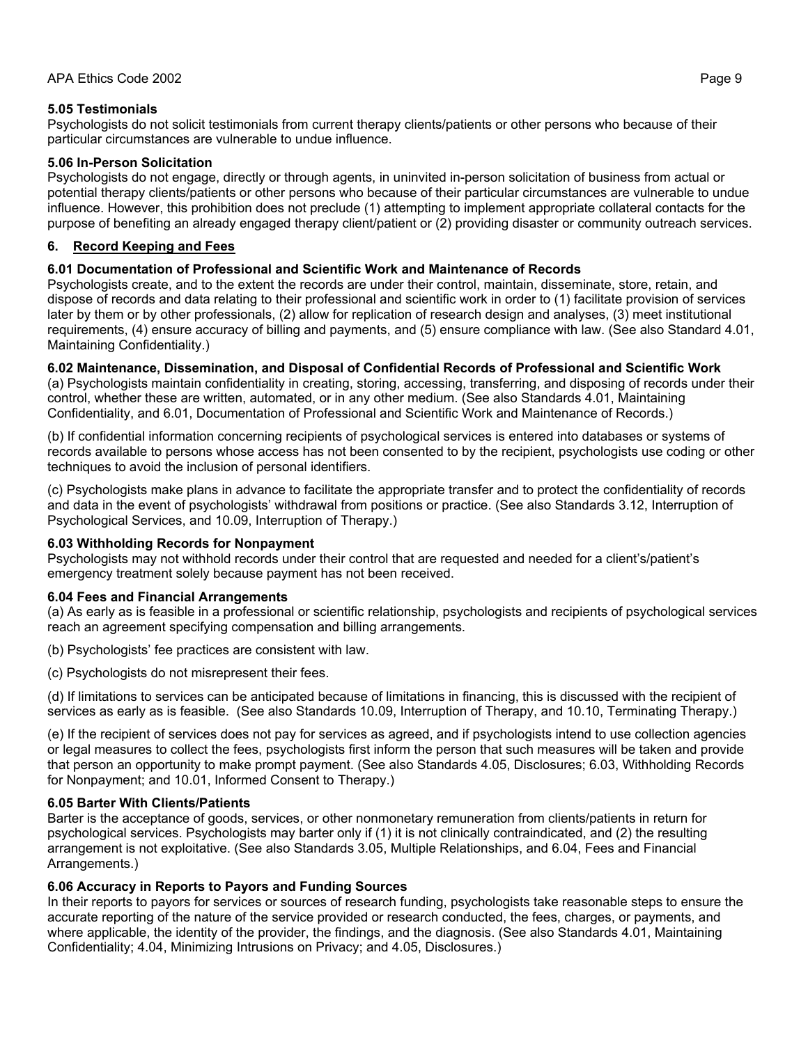# **5.05 Testimonials**

Psychologists do not solicit testimonials from current therapy clients/patients or other persons who because of their particular circumstances are vulnerable to undue influence.

### **5.06 In-Person Solicitation**

Psychologists do not engage, directly or through agents, in uninvited in-person solicitation of business from actual or potential therapy clients/patients or other persons who because of their particular circumstances are vulnerable to undue influence. However, this prohibition does not preclude (1) attempting to implement appropriate collateral contacts for the purpose of benefiting an already engaged therapy client/patient or (2) providing disaster or community outreach services.

### **6. Record Keeping and Fees**

### **6.01 Documentation of Professional and Scientific Work and Maintenance of Records**

Psychologists create, and to the extent the records are under their control, maintain, disseminate, store, retain, and dispose of records and data relating to their professional and scientific work in order to (1) facilitate provision of services later by them or by other professionals, (2) allow for replication of research design and analyses, (3) meet institutional requirements, (4) ensure accuracy of billing and payments, and (5) ensure compliance with law. (See also Standard 4.01, Maintaining Confidentiality.)

# **6.02 Maintenance, Dissemination, and Disposal of Confidential Records of Professional and Scientific Work**

(a) Psychologists maintain confidentiality in creating, storing, accessing, transferring, and disposing of records under their control, whether these are written, automated, or in any other medium. (See also Standards 4.01, Maintaining Confidentiality, and 6.01, Documentation of Professional and Scientific Work and Maintenance of Records.)

(b) If confidential information concerning recipients of psychological services is entered into databases or systems of records available to persons whose access has not been consented to by the recipient, psychologists use coding or other techniques to avoid the inclusion of personal identifiers.

(c) Psychologists make plans in advance to facilitate the appropriate transfer and to protect the confidentiality of records and data in the event of psychologists' withdrawal from positions or practice. (See also Standards 3.12, Interruption of Psychological Services, and 10.09, Interruption of Therapy.)

#### **6.03 Withholding Records for Nonpayment**

Psychologists may not withhold records under their control that are requested and needed for a client's/patient's emergency treatment solely because payment has not been received.

#### **6.04 Fees and Financial Arrangements**

(a) As early as is feasible in a professional or scientific relationship, psychologists and recipients of psychological services reach an agreement specifying compensation and billing arrangements.

(b) Psychologists' fee practices are consistent with law.

(c) Psychologists do not misrepresent their fees.

(d) If limitations to services can be anticipated because of limitations in financing, this is discussed with the recipient of services as early as is feasible. (See also Standards 10.09, Interruption of Therapy, and 10.10, Terminating Therapy.)

(e) If the recipient of services does not pay for services as agreed, and if psychologists intend to use collection agencies or legal measures to collect the fees, psychologists first inform the person that such measures will be taken and provide that person an opportunity to make prompt payment. (See also Standards 4.05, Disclosures; 6.03, Withholding Records for Nonpayment; and 10.01, Informed Consent to Therapy.)

#### **6.05 Barter With Clients/Patients**

Barter is the acceptance of goods, services, or other nonmonetary remuneration from clients/patients in return for psychological services. Psychologists may barter only if (1) it is not clinically contraindicated, and (2) the resulting arrangement is not exploitative. (See also Standards 3.05, Multiple Relationships, and 6.04, Fees and Financial Arrangements.)

# **6.06 Accuracy in Reports to Payors and Funding Sources**

In their reports to payors for services or sources of research funding, psychologists take reasonable steps to ensure the accurate reporting of the nature of the service provided or research conducted, the fees, charges, or payments, and where applicable, the identity of the provider, the findings, and the diagnosis. (See also Standards 4.01, Maintaining Confidentiality; 4.04, Minimizing Intrusions on Privacy; and 4.05, Disclosures.)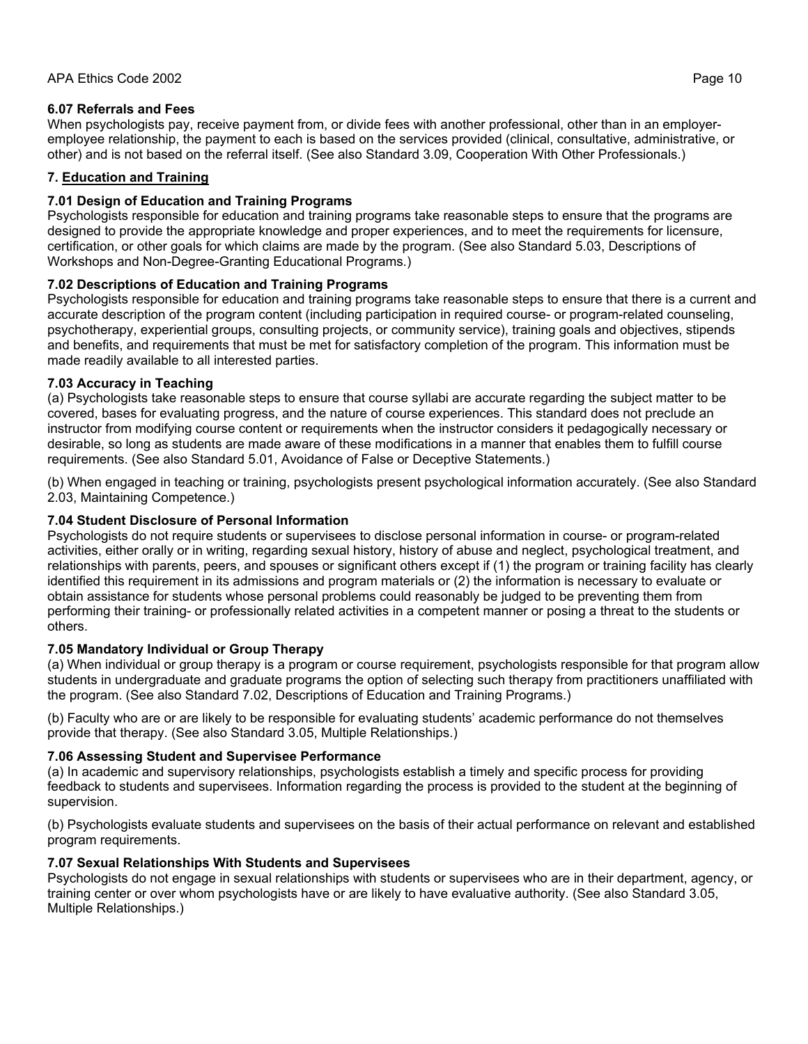# **6.07 Referrals and Fees**

When psychologists pay, receive payment from, or divide fees with another professional, other than in an employeremployee relationship, the payment to each is based on the services provided (clinical, consultative, administrative, or other) and is not based on the referral itself. (See also Standard 3.09, Cooperation With Other Professionals.)

# **7. Education and Training**

# **7.01 Design of Education and Training Programs**

Psychologists responsible for education and training programs take reasonable steps to ensure that the programs are designed to provide the appropriate knowledge and proper experiences, and to meet the requirements for licensure, certification, or other goals for which claims are made by the program. (See also Standard 5.03, Descriptions of Workshops and Non-Degree-Granting Educational Programs.)

# **7.02 Descriptions of Education and Training Programs**

Psychologists responsible for education and training programs take reasonable steps to ensure that there is a current and accurate description of the program content (including participation in required course- or program-related counseling, psychotherapy, experiential groups, consulting projects, or community service), training goals and objectives, stipends and benefits, and requirements that must be met for satisfactory completion of the program. This information must be made readily available to all interested parties.

# **7.03 Accuracy in Teaching**

(a) Psychologists take reasonable steps to ensure that course syllabi are accurate regarding the subject matter to be covered, bases for evaluating progress, and the nature of course experiences. This standard does not preclude an instructor from modifying course content or requirements when the instructor considers it pedagogically necessary or desirable, so long as students are made aware of these modifications in a manner that enables them to fulfill course requirements. (See also Standard 5.01, Avoidance of False or Deceptive Statements.)

(b) When engaged in teaching or training, psychologists present psychological information accurately. (See also Standard 2.03, Maintaining Competence.)

# **7.04 Student Disclosure of Personal Information**

Psychologists do not require students or supervisees to disclose personal information in course- or program-related activities, either orally or in writing, regarding sexual history, history of abuse and neglect, psychological treatment, and relationships with parents, peers, and spouses or significant others except if (1) the program or training facility has clearly identified this requirement in its admissions and program materials or (2) the information is necessary to evaluate or obtain assistance for students whose personal problems could reasonably be judged to be preventing them from performing their training- or professionally related activities in a competent manner or posing a threat to the students or others.

# **7.05 Mandatory Individual or Group Therapy**

(a) When individual or group therapy is a program or course requirement, psychologists responsible for that program allow students in undergraduate and graduate programs the option of selecting such therapy from practitioners unaffiliated with the program. (See also Standard 7.02, Descriptions of Education and Training Programs.)

(b) Faculty who are or are likely to be responsible for evaluating students' academic performance do not themselves provide that therapy. (See also Standard 3.05, Multiple Relationships.)

# **7.06 Assessing Student and Supervisee Performance**

(a) In academic and supervisory relationships, psychologists establish a timely and specific process for providing feedback to students and supervisees. Information regarding the process is provided to the student at the beginning of supervision.

(b) Psychologists evaluate students and supervisees on the basis of their actual performance on relevant and established program requirements.

# **7.07 Sexual Relationships With Students and Supervisees**

Psychologists do not engage in sexual relationships with students or supervisees who are in their department, agency, or training center or over whom psychologists have or are likely to have evaluative authority. (See also Standard 3.05, Multiple Relationships.)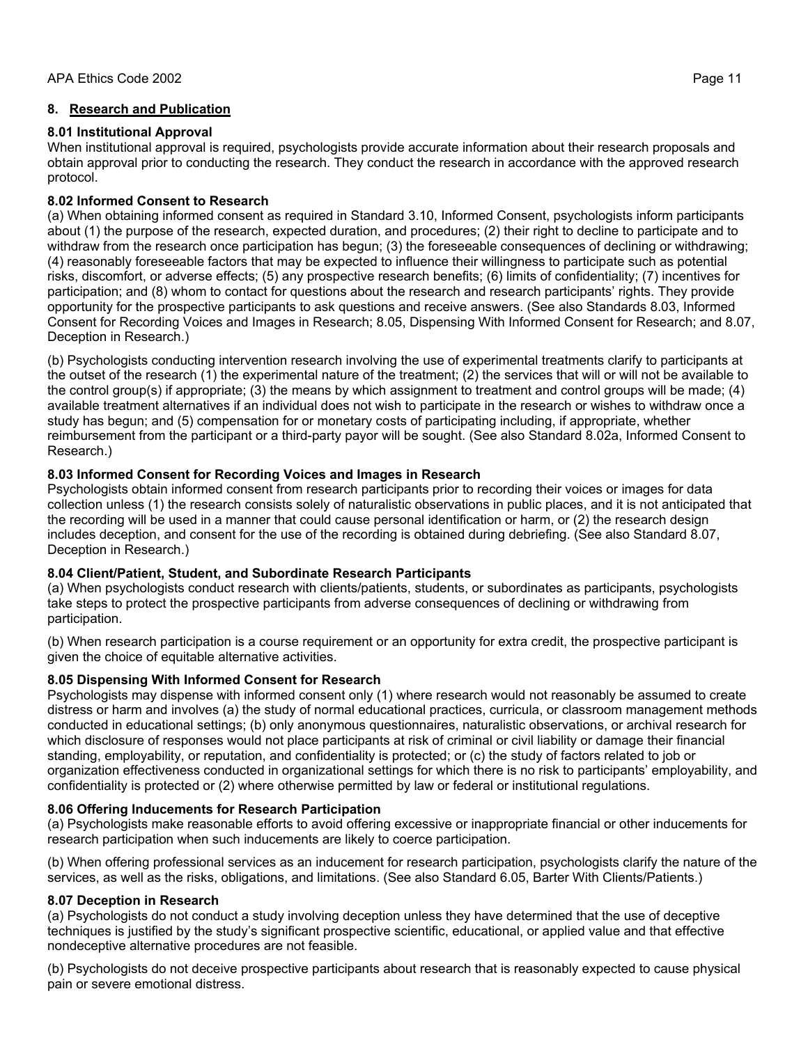# **8. Research and Publication**

### **8.01 Institutional Approval**

When institutional approval is required, psychologists provide accurate information about their research proposals and obtain approval prior to conducting the research. They conduct the research in accordance with the approved research protocol.

### **8.02 Informed Consent to Research**

(a) When obtaining informed consent as required in Standard 3.10, Informed Consent, psychologists inform participants about (1) the purpose of the research, expected duration, and procedures; (2) their right to decline to participate and to withdraw from the research once participation has begun; (3) the foreseeable consequences of declining or withdrawing; (4) reasonably foreseeable factors that may be expected to influence their willingness to participate such as potential risks, discomfort, or adverse effects; (5) any prospective research benefits; (6) limits of confidentiality; (7) incentives for participation; and (8) whom to contact for questions about the research and research participants' rights. They provide opportunity for the prospective participants to ask questions and receive answers. (See also Standards 8.03, Informed Consent for Recording Voices and Images in Research; 8.05, Dispensing With Informed Consent for Research; and 8.07, Deception in Research.)

(b) Psychologists conducting intervention research involving the use of experimental treatments clarify to participants at the outset of the research (1) the experimental nature of the treatment; (2) the services that will or will not be available to the control group(s) if appropriate; (3) the means by which assignment to treatment and control groups will be made; (4) available treatment alternatives if an individual does not wish to participate in the research or wishes to withdraw once a study has begun; and (5) compensation for or monetary costs of participating including, if appropriate, whether reimbursement from the participant or a third-party payor will be sought. (See also Standard 8.02a, Informed Consent to Research.)

# **8.03 Informed Consent for Recording Voices and Images in Research**

Psychologists obtain informed consent from research participants prior to recording their voices or images for data collection unless (1) the research consists solely of naturalistic observations in public places, and it is not anticipated that the recording will be used in a manner that could cause personal identification or harm, or (2) the research design includes deception, and consent for the use of the recording is obtained during debriefing. (See also Standard 8.07, Deception in Research.)

#### **8.04 Client/Patient, Student, and Subordinate Research Participants**

(a) When psychologists conduct research with clients/patients, students, or subordinates as participants, psychologists take steps to protect the prospective participants from adverse consequences of declining or withdrawing from participation.

(b) When research participation is a course requirement or an opportunity for extra credit, the prospective participant is given the choice of equitable alternative activities.

### **8.05 Dispensing With Informed Consent for Research**

Psychologists may dispense with informed consent only (1) where research would not reasonably be assumed to create distress or harm and involves (a) the study of normal educational practices, curricula, or classroom management methods conducted in educational settings; (b) only anonymous questionnaires, naturalistic observations, or archival research for which disclosure of responses would not place participants at risk of criminal or civil liability or damage their financial standing, employability, or reputation, and confidentiality is protected; or (c) the study of factors related to job or organization effectiveness conducted in organizational settings for which there is no risk to participants' employability, and confidentiality is protected or (2) where otherwise permitted by law or federal or institutional regulations.

# **8.06 Offering Inducements for Research Participation**

(a) Psychologists make reasonable efforts to avoid offering excessive or inappropriate financial or other inducements for research participation when such inducements are likely to coerce participation.

(b) When offering professional services as an inducement for research participation, psychologists clarify the nature of the services, as well as the risks, obligations, and limitations. (See also Standard 6.05, Barter With Clients/Patients.)

#### **8.07 Deception in Research**

(a) Psychologists do not conduct a study involving deception unless they have determined that the use of deceptive techniques is justified by the study's significant prospective scientific, educational, or applied value and that effective nondeceptive alternative procedures are not feasible.

(b) Psychologists do not deceive prospective participants about research that is reasonably expected to cause physical pain or severe emotional distress.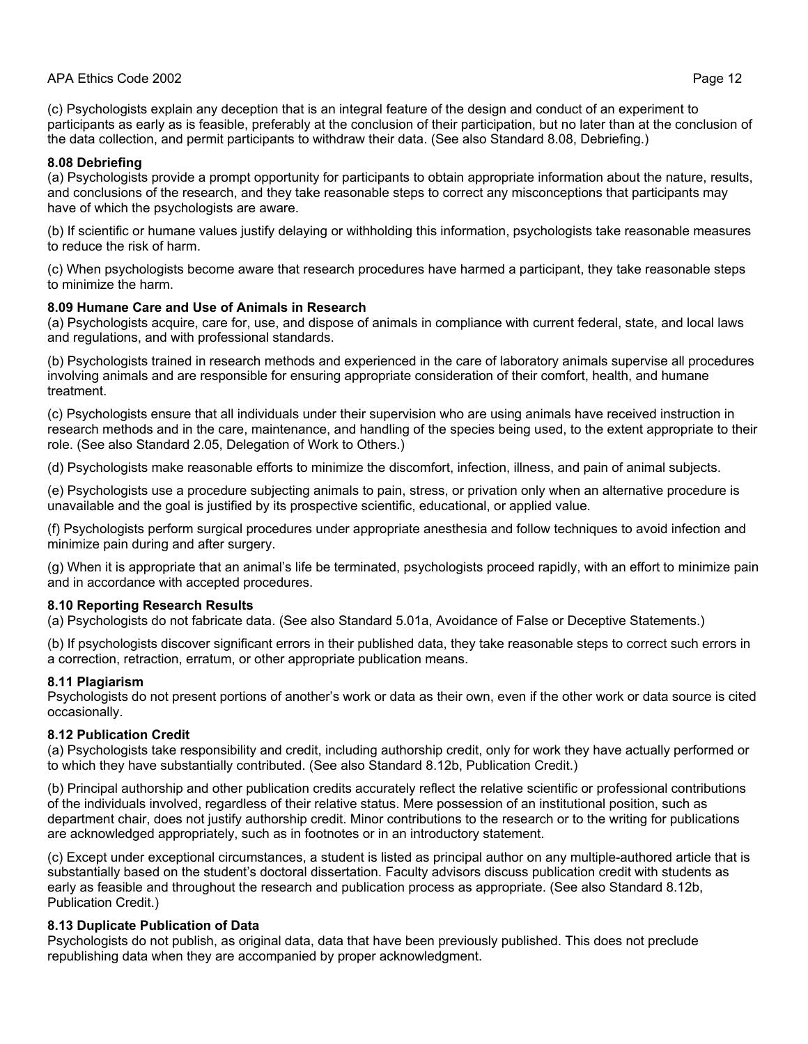(c) Psychologists explain any deception that is an integral feature of the design and conduct of an experiment to participants as early as is feasible, preferably at the conclusion of their participation, but no later than at the conclusion of the data collection, and permit participants to withdraw their data. (See also Standard 8.08, Debriefing.)

### **8.08 Debriefing**

(a) Psychologists provide a prompt opportunity for participants to obtain appropriate information about the nature, results, and conclusions of the research, and they take reasonable steps to correct any misconceptions that participants may have of which the psychologists are aware.

(b) If scientific or humane values justify delaying or withholding this information, psychologists take reasonable measures to reduce the risk of harm.

(c) When psychologists become aware that research procedures have harmed a participant, they take reasonable steps to minimize the harm.

#### **8.09 Humane Care and Use of Animals in Research**

(a) Psychologists acquire, care for, use, and dispose of animals in compliance with current federal, state, and local laws and regulations, and with professional standards.

(b) Psychologists trained in research methods and experienced in the care of laboratory animals supervise all procedures involving animals and are responsible for ensuring appropriate consideration of their comfort, health, and humane treatment.

(c) Psychologists ensure that all individuals under their supervision who are using animals have received instruction in research methods and in the care, maintenance, and handling of the species being used, to the extent appropriate to their role. (See also Standard 2.05, Delegation of Work to Others.)

(d) Psychologists make reasonable efforts to minimize the discomfort, infection, illness, and pain of animal subjects.

(e) Psychologists use a procedure subjecting animals to pain, stress, or privation only when an alternative procedure is unavailable and the goal is justified by its prospective scientific, educational, or applied value.

(f) Psychologists perform surgical procedures under appropriate anesthesia and follow techniques to avoid infection and minimize pain during and after surgery.

(g) When it is appropriate that an animal's life be terminated, psychologists proceed rapidly, with an effort to minimize pain and in accordance with accepted procedures.

#### **8.10 Reporting Research Results**

(a) Psychologists do not fabricate data. (See also Standard 5.01a, Avoidance of False or Deceptive Statements.)

(b) If psychologists discover significant errors in their published data, they take reasonable steps to correct such errors in a correction, retraction, erratum, or other appropriate publication means.

#### **8.11 Plagiarism**

Psychologists do not present portions of another's work or data as their own, even if the other work or data source is cited occasionally.

#### **8.12 Publication Credit**

(a) Psychologists take responsibility and credit, including authorship credit, only for work they have actually performed or to which they have substantially contributed. (See also Standard 8.12b, Publication Credit.)

(b) Principal authorship and other publication credits accurately reflect the relative scientific or professional contributions of the individuals involved, regardless of their relative status. Mere possession of an institutional position, such as department chair, does not justify authorship credit. Minor contributions to the research or to the writing for publications are acknowledged appropriately, such as in footnotes or in an introductory statement.

(c) Except under exceptional circumstances, a student is listed as principal author on any multiple-authored article that is substantially based on the student's doctoral dissertation. Faculty advisors discuss publication credit with students as early as feasible and throughout the research and publication process as appropriate. (See also Standard 8.12b, Publication Credit.)

#### **8.13 Duplicate Publication of Data**

Psychologists do not publish, as original data, data that have been previously published. This does not preclude republishing data when they are accompanied by proper acknowledgment.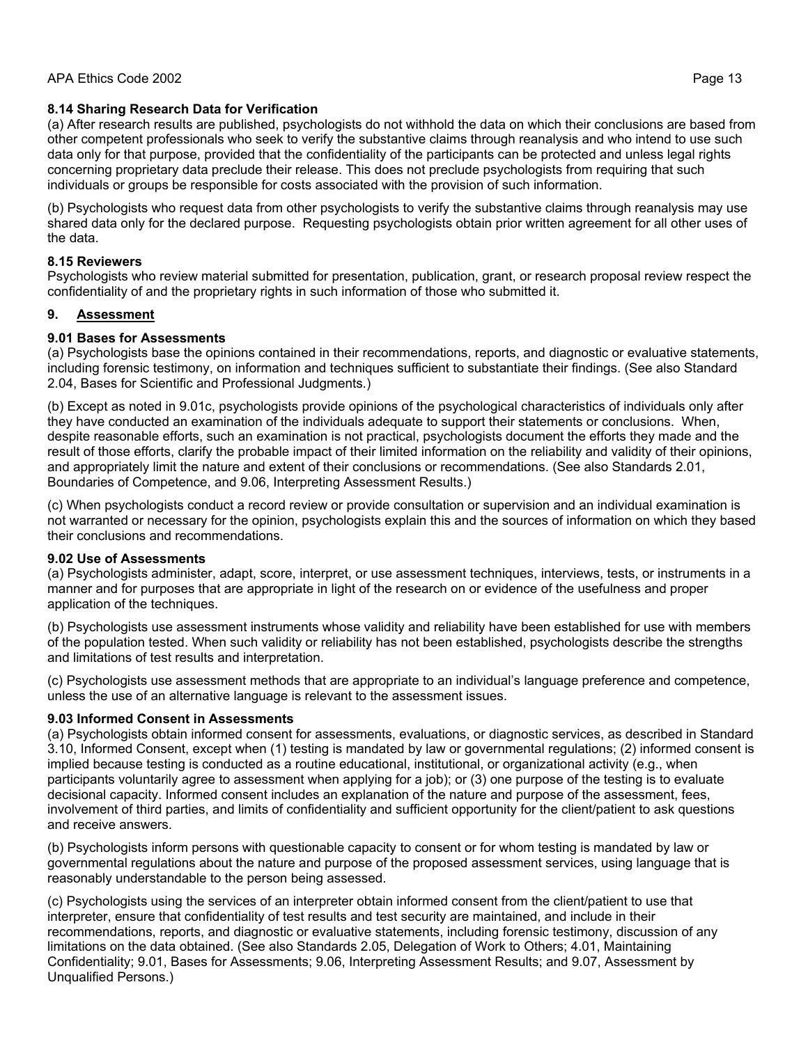### **8.14 Sharing Research Data for Verification**

(a) After research results are published, psychologists do not withhold the data on which their conclusions are based from other competent professionals who seek to verify the substantive claims through reanalysis and who intend to use such data only for that purpose, provided that the confidentiality of the participants can be protected and unless legal rights concerning proprietary data preclude their release. This does not preclude psychologists from requiring that such individuals or groups be responsible for costs associated with the provision of such information.

(b) Psychologists who request data from other psychologists to verify the substantive claims through reanalysis may use shared data only for the declared purpose. Requesting psychologists obtain prior written agreement for all other uses of the data.

### **8.15 Reviewers**

Psychologists who review material submitted for presentation, publication, grant, or research proposal review respect the confidentiality of and the proprietary rights in such information of those who submitted it.

### **9. Assessment**

### **9.01 Bases for Assessments**

(a) Psychologists base the opinions contained in their recommendations, reports, and diagnostic or evaluative statements, including forensic testimony, on information and techniques sufficient to substantiate their findings. (See also Standard 2.04, Bases for Scientific and Professional Judgments.)

(b) Except as noted in 9.01c, psychologists provide opinions of the psychological characteristics of individuals only after they have conducted an examination of the individuals adequate to support their statements or conclusions. When, despite reasonable efforts, such an examination is not practical, psychologists document the efforts they made and the result of those efforts, clarify the probable impact of their limited information on the reliability and validity of their opinions, and appropriately limit the nature and extent of their conclusions or recommendations. (See also Standards 2.01, Boundaries of Competence, and 9.06, Interpreting Assessment Results.)

(c) When psychologists conduct a record review or provide consultation or supervision and an individual examination is not warranted or necessary for the opinion, psychologists explain this and the sources of information on which they based their conclusions and recommendations.

#### **9.02 Use of Assessments**

(a) Psychologists administer, adapt, score, interpret, or use assessment techniques, interviews, tests, or instruments in a manner and for purposes that are appropriate in light of the research on or evidence of the usefulness and proper application of the techniques.

(b) Psychologists use assessment instruments whose validity and reliability have been established for use with members of the population tested. When such validity or reliability has not been established, psychologists describe the strengths and limitations of test results and interpretation.

(c) Psychologists use assessment methods that are appropriate to an individual's language preference and competence, unless the use of an alternative language is relevant to the assessment issues.

#### **9.03 Informed Consent in Assessments**

(a) Psychologists obtain informed consent for assessments, evaluations, or diagnostic services, as described in Standard 3.10, Informed Consent, except when (1) testing is mandated by law or governmental regulations; (2) informed consent is implied because testing is conducted as a routine educational, institutional, or organizational activity (e.g., when participants voluntarily agree to assessment when applying for a job); or (3) one purpose of the testing is to evaluate decisional capacity. Informed consent includes an explanation of the nature and purpose of the assessment, fees, involvement of third parties, and limits of confidentiality and sufficient opportunity for the client/patient to ask questions and receive answers.

(b) Psychologists inform persons with questionable capacity to consent or for whom testing is mandated by law or governmental regulations about the nature and purpose of the proposed assessment services, using language that is reasonably understandable to the person being assessed.

(c) Psychologists using the services of an interpreter obtain informed consent from the client/patient to use that interpreter, ensure that confidentiality of test results and test security are maintained, and include in their recommendations, reports, and diagnostic or evaluative statements, including forensic testimony, discussion of any limitations on the data obtained. (See also Standards 2.05, Delegation of Work to Others; 4.01, Maintaining Confidentiality; 9.01, Bases for Assessments; 9.06, Interpreting Assessment Results; and 9.07, Assessment by Unqualified Persons.)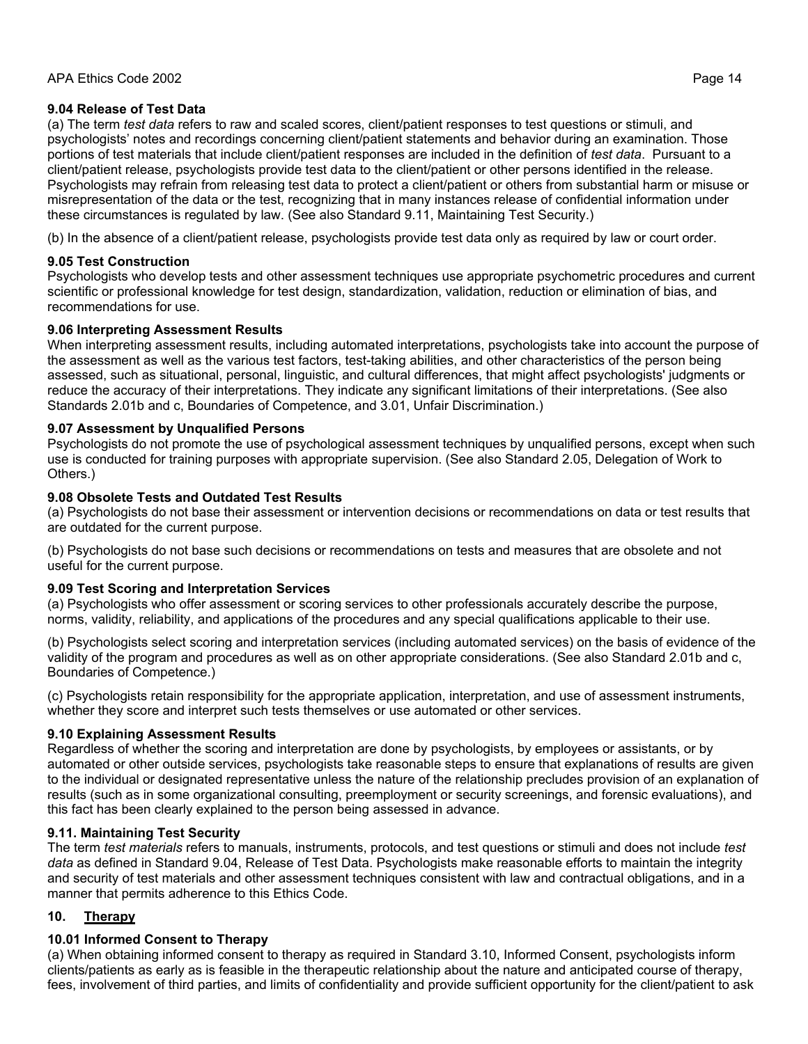# **9.04 Release of Test Data**

(a) The term *test data* refers to raw and scaled scores, client/patient responses to test questions or stimuli, and psychologists' notes and recordings concerning client/patient statements and behavior during an examination. Those portions of test materials that include client/patient responses are included in the definition of *test data*. Pursuant to a client/patient release, psychologists provide test data to the client/patient or other persons identified in the release. Psychologists may refrain from releasing test data to protect a client/patient or others from substantial harm or misuse or misrepresentation of the data or the test, recognizing that in many instances release of confidential information under these circumstances is regulated by law. (See also Standard 9.11, Maintaining Test Security.)

(b) In the absence of a client/patient release, psychologists provide test data only as required by law or court order.

# **9.05 Test Construction**

Psychologists who develop tests and other assessment techniques use appropriate psychometric procedures and current scientific or professional knowledge for test design, standardization, validation, reduction or elimination of bias, and recommendations for use.

### **9.06 Interpreting Assessment Results**

When interpreting assessment results, including automated interpretations, psychologists take into account the purpose of the assessment as well as the various test factors, test-taking abilities, and other characteristics of the person being assessed, such as situational, personal, linguistic, and cultural differences, that might affect psychologists' judgments or reduce the accuracy of their interpretations. They indicate any significant limitations of their interpretations. (See also Standards 2.01b and c, Boundaries of Competence, and 3.01, Unfair Discrimination.)

### **9.07 Assessment by Unqualified Persons**

Psychologists do not promote the use of psychological assessment techniques by unqualified persons, except when such use is conducted for training purposes with appropriate supervision. (See also Standard 2.05, Delegation of Work to Others.)

### **9.08 Obsolete Tests and Outdated Test Results**

(a) Psychologists do not base their assessment or intervention decisions or recommendations on data or test results that are outdated for the current purpose.

(b) Psychologists do not base such decisions or recommendations on tests and measures that are obsolete and not useful for the current purpose.

# **9.09 Test Scoring and Interpretation Services**

(a) Psychologists who offer assessment or scoring services to other professionals accurately describe the purpose, norms, validity, reliability, and applications of the procedures and any special qualifications applicable to their use.

(b) Psychologists select scoring and interpretation services (including automated services) on the basis of evidence of the validity of the program and procedures as well as on other appropriate considerations. (See also Standard 2.01b and c, Boundaries of Competence.)

(c) Psychologists retain responsibility for the appropriate application, interpretation, and use of assessment instruments, whether they score and interpret such tests themselves or use automated or other services.

#### **9.10 Explaining Assessment Results**

Regardless of whether the scoring and interpretation are done by psychologists, by employees or assistants, or by automated or other outside services, psychologists take reasonable steps to ensure that explanations of results are given to the individual or designated representative unless the nature of the relationship precludes provision of an explanation of results (such as in some organizational consulting, preemployment or security screenings, and forensic evaluations), and this fact has been clearly explained to the person being assessed in advance.

# **9.11. Maintaining Test Security**

The term *test materials* refers to manuals, instruments, protocols, and test questions or stimuli and does not include *test data* as defined in Standard 9.04, Release of Test Data. Psychologists make reasonable efforts to maintain the integrity and security of test materials and other assessment techniques consistent with law and contractual obligations, and in a manner that permits adherence to this Ethics Code.

# **10. Therapy**

# **10.01 Informed Consent to Therapy**

(a) When obtaining informed consent to therapy as required in Standard 3.10, Informed Consent, psychologists inform clients/patients as early as is feasible in the therapeutic relationship about the nature and anticipated course of therapy, fees, involvement of third parties, and limits of confidentiality and provide sufficient opportunity for the client/patient to ask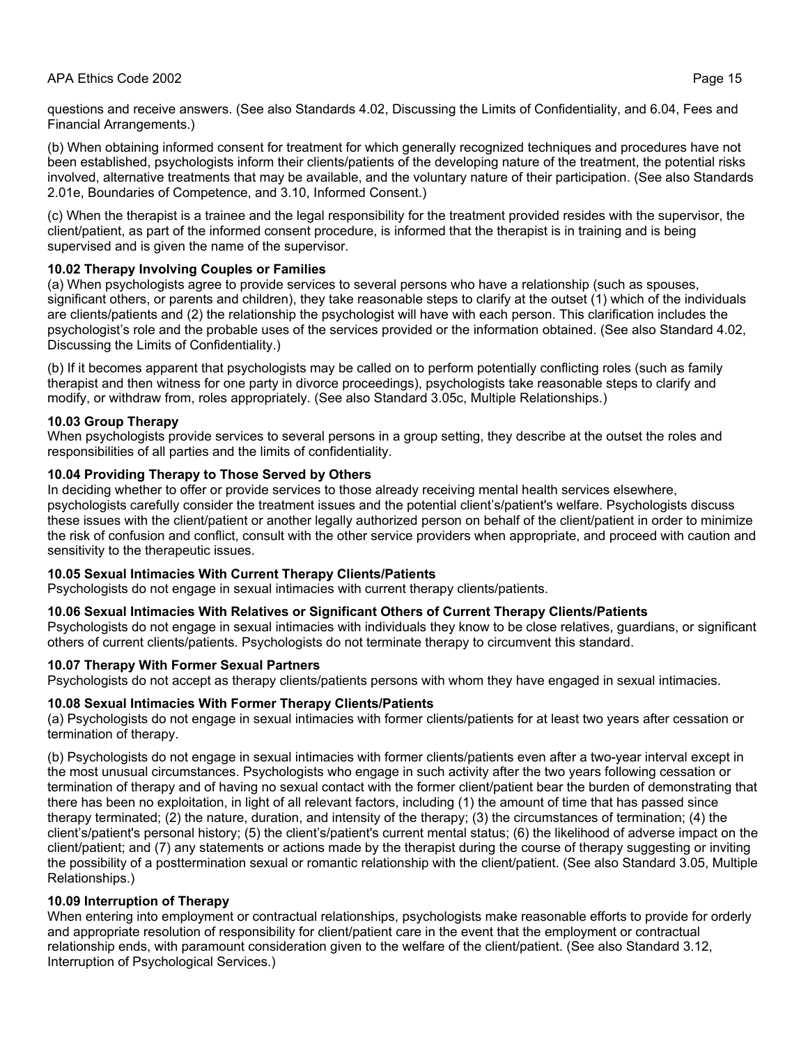questions and receive answers. (See also Standards 4.02, Discussing the Limits of Confidentiality, and 6.04, Fees and Financial Arrangements.)

(b) When obtaining informed consent for treatment for which generally recognized techniques and procedures have not been established, psychologists inform their clients/patients of the developing nature of the treatment, the potential risks involved, alternative treatments that may be available, and the voluntary nature of their participation. (See also Standards 2.01e, Boundaries of Competence, and 3.10, Informed Consent.)

(c) When the therapist is a trainee and the legal responsibility for the treatment provided resides with the supervisor, the client/patient, as part of the informed consent procedure, is informed that the therapist is in training and is being supervised and is given the name of the supervisor.

# **10.02 Therapy Involving Couples or Families**

(a) When psychologists agree to provide services to several persons who have a relationship (such as spouses, significant others, or parents and children), they take reasonable steps to clarify at the outset (1) which of the individuals are clients/patients and (2) the relationship the psychologist will have with each person. This clarification includes the psychologist's role and the probable uses of the services provided or the information obtained. (See also Standard 4.02, Discussing the Limits of Confidentiality.)

(b) If it becomes apparent that psychologists may be called on to perform potentially conflicting roles (such as family therapist and then witness for one party in divorce proceedings), psychologists take reasonable steps to clarify and modify, or withdraw from, roles appropriately. (See also Standard 3.05c, Multiple Relationships.)

### **10.03 Group Therapy**

When psychologists provide services to several persons in a group setting, they describe at the outset the roles and responsibilities of all parties and the limits of confidentiality.

#### **10.04 Providing Therapy to Those Served by Others**

In deciding whether to offer or provide services to those already receiving mental health services elsewhere, psychologists carefully consider the treatment issues and the potential client's/patient's welfare. Psychologists discuss these issues with the client/patient or another legally authorized person on behalf of the client/patient in order to minimize the risk of confusion and conflict, consult with the other service providers when appropriate, and proceed with caution and sensitivity to the therapeutic issues.

#### **10.05 Sexual Intimacies With Current Therapy Clients/Patients**

Psychologists do not engage in sexual intimacies with current therapy clients/patients.

#### **10.06 Sexual Intimacies With Relatives or Significant Others of Current Therapy Clients/Patients**

Psychologists do not engage in sexual intimacies with individuals they know to be close relatives, guardians, or significant others of current clients/patients. Psychologists do not terminate therapy to circumvent this standard.

#### **10.07 Therapy With Former Sexual Partners**

Psychologists do not accept as therapy clients/patients persons with whom they have engaged in sexual intimacies.

#### **10.08 Sexual Intimacies With Former Therapy Clients/Patients**

(a) Psychologists do not engage in sexual intimacies with former clients/patients for at least two years after cessation or termination of therapy.

(b) Psychologists do not engage in sexual intimacies with former clients/patients even after a two-year interval except in the most unusual circumstances. Psychologists who engage in such activity after the two years following cessation or termination of therapy and of having no sexual contact with the former client/patient bear the burden of demonstrating that there has been no exploitation, in light of all relevant factors, including (1) the amount of time that has passed since therapy terminated; (2) the nature, duration, and intensity of the therapy; (3) the circumstances of termination; (4) the client's/patient's personal history; (5) the client's/patient's current mental status; (6) the likelihood of adverse impact on the client/patient; and (7) any statements or actions made by the therapist during the course of therapy suggesting or inviting the possibility of a posttermination sexual or romantic relationship with the client/patient. (See also Standard 3.05, Multiple Relationships.)

#### **10.09 Interruption of Therapy**

When entering into employment or contractual relationships, psychologists make reasonable efforts to provide for orderly and appropriate resolution of responsibility for client/patient care in the event that the employment or contractual relationship ends, with paramount consideration given to the welfare of the client/patient. (See also Standard 3.12, Interruption of Psychological Services.)